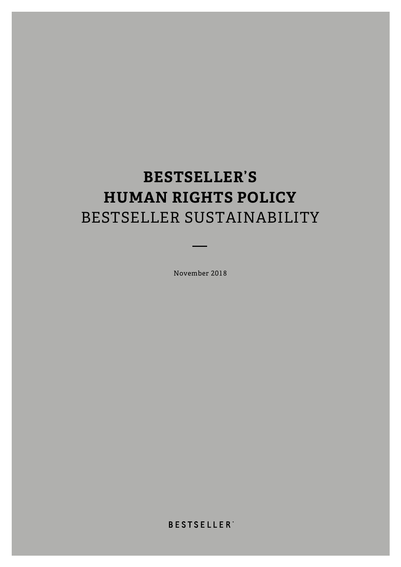# **BESTSELLER'S HUMAN RIGHTS POLICY** BESTSELLER SUSTAINABILITY

November 2018

**BESTSELLER**<sup>\*</sup>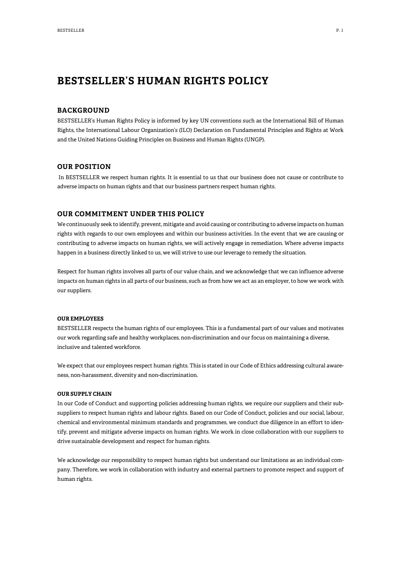## **BESTSELLER'S HUMAN RIGHTS POLICY**

#### **BACKGROUND**

BESTSELLER's Human Rights Policy is informed by key UN conventions such as the International Bill of Human Rights, the International Labour Organization's (ILO) Declaration on Fundamental Principles and Rights at Work and the United Nations Guiding Principles on Business and Human Rights (UNGP).

#### **OUR POSITION**

In BESTSELLER we respect human rights. It is essential to us that our business does not cause or contribute to adverse impacts on human rights and that our business partners respect human rights.

#### **OUR COMMITMENT UNDER THIS POLICY**

We continuously seek to identify, prevent, mitigate and avoid causing or contributing to adverse impacts on human rights with regards to our own employees and within our business activities. In the event that we are causing or contributing to adverse impacts on human rights, we will actively engage in remediation. Where adverse impacts happen in a business directly linked to us, we will strive to use our leverage to remedy the situation.

Respect for human rights involves all parts of our value chain, and we acknowledge that we can influence adverse impacts on human rights in all parts of our business, such as from how we act as an employer, to how we work with our suppliers.

#### **OUR EMPLOYEES**

BESTSELLER respects the human rights of our employees. This is a fundamental part of our values and motivates our work regarding safe and healthy workplaces, non-discrimination and our focus on maintaining a diverse, inclusive and talented workforce.

We expect that our employees respect human rights. This is stated in our Code of Ethics addressing cultural awareness, non-harassment, diversity and non-discrimination.

#### **OUR SUPPLY CHAIN**

In our Code of Conduct and supporting policies addressing human rights, we require our suppliers and their subsuppliers to respect human rights and labour rights. Based on our Code of Conduct, policies and our social, labour, chemical and environmental minimum standards and programmes, we conduct due diligence in an effort to identify, prevent and mitigate adverse impacts on human rights. We work in close collaboration with our suppliers to drive sustainable development and respect for human rights.

We acknowledge our responsibility to respect human rights but understand our limitations as an individual company. Therefore, we work in collaboration with industry and external partners to promote respect and support of human rights.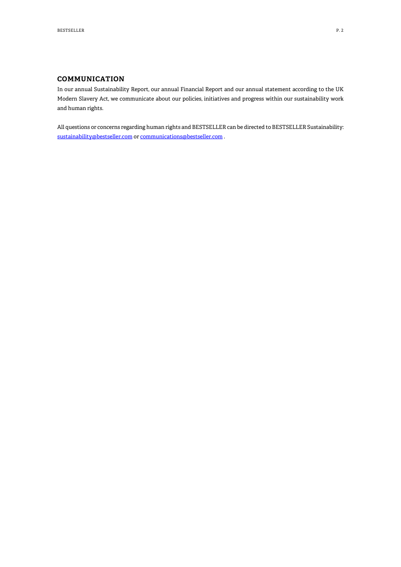### **COMMUNICATION**

In our annual Sustainability Report, our annual Financial Report and our annual statement according to the UK Modern Slavery Act, we communicate about our policies, initiatives and progress within our sustainability work and human rights.

All questions or concerns regarding human rights and BESTSELLER can be directed to BESTSELLER Sustainability: [sustainability@bestseller.com](mailto:sustainability@bestseller.com) o[r communications@bestseller.com](mailto:communications@bestseller.com) .